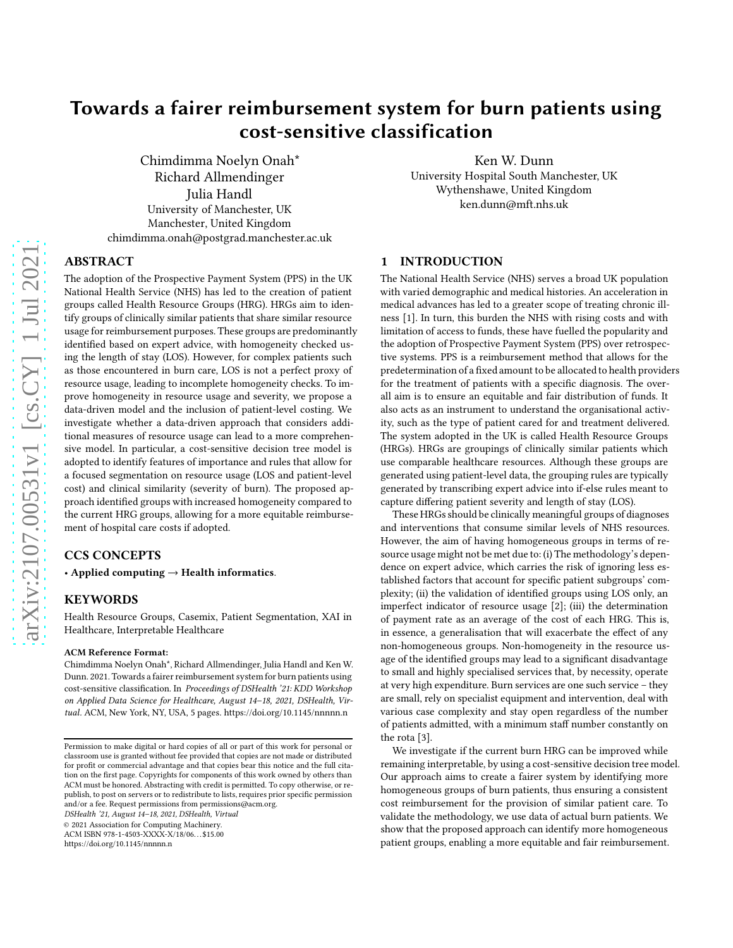# Towards a fairer reimbursement system for burn patients using cost-sensitive classification

Chimdimma Noelyn Onah\* Richard Allmendinger Julia Handl University of Manchester, UK Manchester, United Kingdom chimdimma.onah@postgrad.manchester.ac.uk

Ken W. Dunn University Hospital South Manchester, UK Wythenshawe, United Kingdom

ken.dunn@mft.nhs.uk

## ABSTRACT

The adoption of the Prospective Payment System (PPS) in the UK National Health Service (NHS) has led to the creation of patient groups called Health Resource Groups (HRG). HRGs aim to identify groups of clinically similar patients that share similar resource usage for reimbursement purposes. These groups are predominantly identified based on expert advice, with homogeneity checked using the length of stay (LOS). However, for complex patients such as those encountered in burn care, LOS is not a perfect proxy of resource usage, leading to incomplete homogeneity checks. To improve homogeneity in resource usage and severity, we propose a data-driven model and the inclusion of patient-level costing. We investigate whether a data-driven approach that considers additional measures of resource usage can lead to a more comprehensive model. In particular, a cost-sensitive decision tree model is adopted to identify features of importance and rules that allow for a focused segmentation on resource usage (LOS and patient-level cost) and clinical similarity (severity of burn). The proposed approach identified groups with increased homogeneity compared to the current HRG groups, allowing for a more equitable reimbursement of hospital care costs if adopted.

## CCS CONCEPTS

• Applied computing  $\rightarrow$  Health informatics.

## KEYWORDS

Health Resource Groups, Casemix, Patient Segmentation, XAI in Healthcare, Interpretable Healthcare

#### ACM Reference Format:

Chimdimma Noelyn Onah\*, Richard Allmendinger, Julia Handl and Ken W. Dunn. 2021. Towards a fairer reimbursement system for burn patients using cost-sensitive classification. In Proceedings of DSHealth '21: KDD Workshop on Applied Data Science for Healthcare, August 14–18, 2021, DSHealth, Virtual. ACM, New York, NY, USA, [5](#page-4-0) pages.<https://doi.org/10.1145/nnnnn.n>

DSHealth '21, August 14–18, 2021, DSHealth, Virtual

© 2021 Association for Computing Machinery.

ACM ISBN 978-1-4503-XXXX-X/18/06. . . \$15.00

<https://doi.org/10.1145/nnnnn.n>

## 1 INTRODUCTION

The National Health Service (NHS) serves a broad UK population with varied demographic and medical histories. An acceleration in medical advances has led to a greater scope of treating chronic illness [\[1\]](#page-4-1). In turn, this burden the NHS with rising costs and with limitation of access to funds, these have fuelled the popularity and the adoption of Prospective Payment System (PPS) over retrospective systems. PPS is a reimbursement method that allows for the predetermination of a fixed amount to be allocated to health providers for the treatment of patients with a specific diagnosis. The overall aim is to ensure an equitable and fair distribution of funds. It also acts as an instrument to understand the organisational activity, such as the type of patient cared for and treatment delivered. The system adopted in the UK is called Health Resource Groups (HRGs). HRGs are groupings of clinically similar patients which use comparable healthcare resources. Although these groups are generated using patient-level data, the grouping rules are typically generated by transcribing expert advice into if-else rules meant to capture differing patient severity and length of stay (LOS).

These HRGs should be clinically meaningful groups of diagnoses and interventions that consume similar levels of NHS resources. However, the aim of having homogeneous groups in terms of resource usage might not be met due to: (i) The methodology's dependence on expert advice, which carries the risk of ignoring less established factors that account for specific patient subgroups' complexity; (ii) the validation of identified groups using LOS only, an imperfect indicator of resource usage [\[2\]](#page-4-2); (iii) the determination of payment rate as an average of the cost of each HRG. This is, in essence, a generalisation that will exacerbate the effect of any non-homogeneous groups. Non-homogeneity in the resource usage of the identified groups may lead to a significant disadvantage to small and highly specialised services that, by necessity, operate at very high expenditure. Burn services are one such service – they are small, rely on specialist equipment and intervention, deal with various case complexity and stay open regardless of the number of patients admitted, with a minimum staff number constantly on the rota [\[3](#page-4-3)].

We investigate if the current burn HRG can be improved while remaining interpretable, by using a cost-sensitive decision tree model. Our approach aims to create a fairer system by identifying more homogeneous groups of burn patients, thus ensuring a consistent cost reimbursement for the provision of similar patient care. To validate the methodology, we use data of actual burn patients. We show that the proposed approach can identify more homogeneous patient groups, enabling a more equitable and fair reimbursement.

Permission to make digital or hard copies of all or part of this work for personal or classroom use is granted without fee provided that copies are not made or distributed for profit or commercial advantage and that copies bear this notice and the full citation on the first page. Copyrights for components of this work owned by others than ACM must be honored. Abstracting with credit is permitted. To copy otherwise, or republish, to post on servers or to redistribute to lists, requires prior specific permission and/or a fee. Request permissions from permissions@acm.org.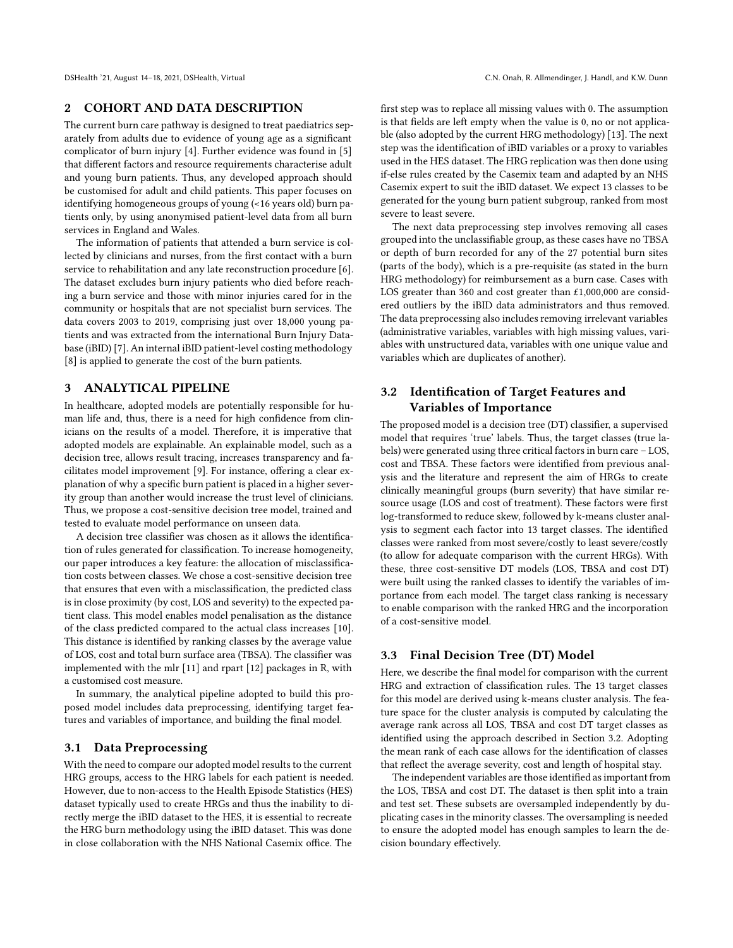DSHealth '21, August 14-18, 2021, DSHealth, Virtual C.N. Onah, R. Allmendinger, J. Handl, and K.W. Dunn

## 2 COHORT AND DATA DESCRIPTION

The current burn care pathway is designed to treat paediatrics separately from adults due to evidence of young age as a significant complicator of burn injury [\[4\]](#page-4-4). Further evidence was found in [\[5\]](#page-4-5) that different factors and resource requirements characterise adult and young burn patients. Thus, any developed approach should be customised for adult and child patients. This paper focuses on identifying homogeneous groups of young (<16 years old) burn patients only, by using anonymised patient-level data from all burn services in England and Wales.

The information of patients that attended a burn service is collected by clinicians and nurses, from the first contact with a burn service to rehabilitation and any late reconstruction procedure [\[6](#page-4-6)]. The dataset excludes burn injury patients who died before reaching a burn service and those with minor injuries cared for in the community or hospitals that are not specialist burn services. The data covers 2003 to 2019, comprising just over 18,000 young patients and was extracted from the international Burn Injury Database (iBID) [\[7](#page-4-7)]. An internal iBID patient-level costing methodology [\[8](#page-4-8)] is applied to generate the cost of the burn patients.

## 3 ANALYTICAL PIPELINE

In healthcare, adopted models are potentially responsible for human life and, thus, there is a need for high confidence from clinicians on the results of a model. Therefore, it is imperative that adopted models are explainable. An explainable model, such as a decision tree, allows result tracing, increases transparency and facilitates model improvement [\[9\]](#page-4-9). For instance, offering a clear explanation of why a specific burn patient is placed in a higher severity group than another would increase the trust level of clinicians. Thus, we propose a cost-sensitive decision tree model, trained and tested to evaluate model performance on unseen data.

A decision tree classifier was chosen as it allows the identification of rules generated for classification. To increase homogeneity, our paper introduces a key feature: the allocation of misclassification costs between classes. We chose a cost-sensitive decision tree that ensures that even with a misclassification, the predicted class is in close proximity (by cost, LOS and severity) to the expected patient class. This model enables model penalisation as the distance of the class predicted compared to the actual class increases [\[10](#page-4-10)]. This distance is identified by ranking classes by the average value of LOS, cost and total burn surface area (TBSA). The classifier was implemented with the mlr [\[11\]](#page-4-11) and rpart [\[12](#page-4-12)] packages in R, with a customised cost measure.

In summary, the analytical pipeline adopted to build this proposed model includes data preprocessing, identifying target features and variables of importance, and building the final model.

#### 3.1 Data Preprocessing

With the need to compare our adopted model results to the current HRG groups, access to the HRG labels for each patient is needed. However, due to non-access to the Health Episode Statistics (HES) dataset typically used to create HRGs and thus the inability to directly merge the iBID dataset to the HES, it is essential to recreate the HRG burn methodology using the iBID dataset. This was done in close collaboration with the NHS National Casemix office. The

first step was to replace all missing values with 0. The assumption is that fields are left empty when the value is 0, no or not applicable (also adopted by the current HRG methodology) [\[13\]](#page-4-13). The next step was the identification of iBID variables or a proxy to variables used in the HES dataset. The HRG replication was then done using if-else rules created by the Casemix team and adapted by an NHS Casemix expert to suit the iBID dataset. We expect 13 classes to be generated for the young burn patient subgroup, ranked from most severe to least severe.

The next data preprocessing step involves removing all cases grouped into the unclassifiable group, as these cases have no TBSA or depth of burn recorded for any of the 27 potential burn sites (parts of the body), which is a pre-requisite (as stated in the burn HRG methodology) for reimbursement as a burn case. Cases with LOS greater than 360 and cost greater than £1,000,000 are considered outliers by the iBID data administrators and thus removed. The data preprocessing also includes removing irrelevant variables (administrative variables, variables with high missing values, variables with unstructured data, variables with one unique value and variables which are duplicates of another).

## 3.2 Identification of Target Features and Variables of Importance

The proposed model is a decision tree (DT) classifier, a supervised model that requires 'true' labels. Thus, the target classes (true labels) were generated using three critical factors in burn care – LOS, cost and TBSA. These factors were identified from previous analysis and the literature and represent the aim of HRGs to create clinically meaningful groups (burn severity) that have similar resource usage (LOS and cost of treatment). These factors were first log-transformed to reduce skew, followed by k-means cluster analysis to segment each factor into 13 target classes. The identified classes were ranked from most severe/costly to least severe/costly (to allow for adequate comparison with the current HRGs). With these, three cost-sensitive DT models (LOS, TBSA and cost DT) were built using the ranked classes to identify the variables of importance from each model. The target class ranking is necessary to enable comparison with the ranked HRG and the incorporation of a cost-sensitive model.

## 3.3 Final Decision Tree (DT) Model

Here, we describe the final model for comparison with the current HRG and extraction of classification rules. The 13 target classes for this model are derived using k-means cluster analysis. The feature space for the cluster analysis is computed by calculating the average rank across all LOS, TBSA and cost DT target classes as identified using the approach described in Section 3.2. Adopting the mean rank of each case allows for the identification of classes that reflect the average severity, cost and length of hospital stay.

The independent variables are those identified as important from the LOS, TBSA and cost DT. The dataset is then split into a train and test set. These subsets are oversampled independently by duplicating cases in the minority classes. The oversampling is needed to ensure the adopted model has enough samples to learn the decision boundary effectively.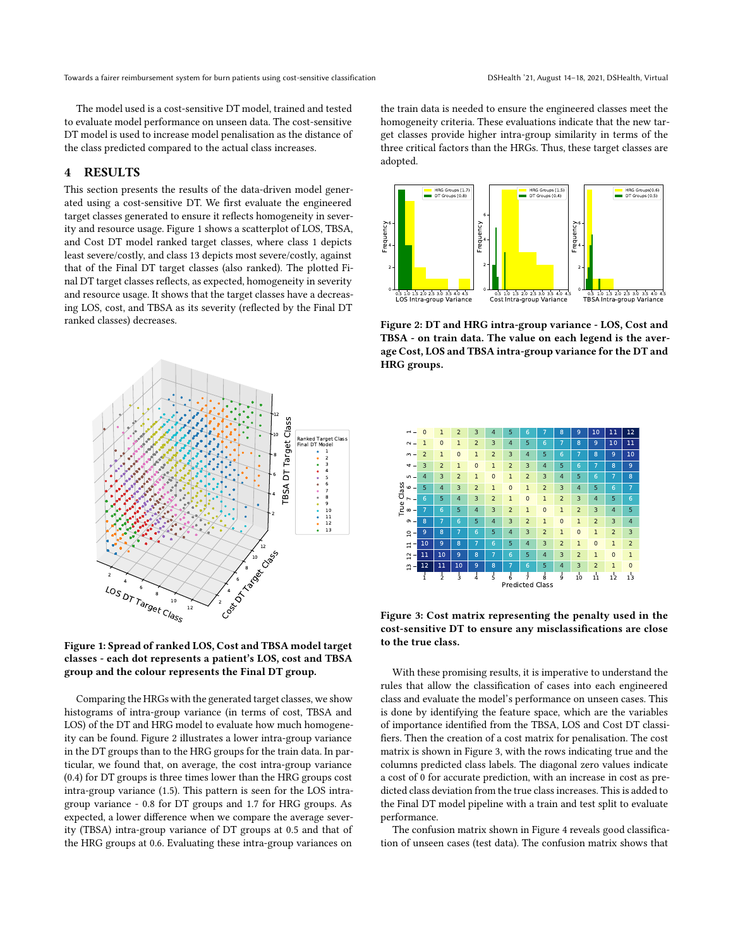The model used is a cost-sensitive DT model, trained and tested to evaluate model performance on unseen data. The cost-sensitive DT model is used to increase model penalisation as the distance of the class predicted compared to the actual class increases.

## 4 RESULTS

This section presents the results of the data-driven model generated using a cost-sensitive DT. We first evaluate the engineered target classes generated to ensure it reflects homogeneity in severity and resource usage. Figure [1](#page-2-0) shows a scatterplot of LOS, TBSA, and Cost DT model ranked target classes, where class 1 depicts least severe/costly, and class 13 depicts most severe/costly, against that of the Final DT target classes (also ranked). The plotted Final DT target classes reflects, as expected, homogeneity in severity and resource usage. It shows that the target classes have a decreasing LOS, cost, and TBSA as its severity (reflected by the Final DT ranked classes) decreases.

<span id="page-2-0"></span>



Comparing the HRGs with the generated target classes, we show histograms of intra-group variance (in terms of cost, TBSA and LOS) of the DT and HRG model to evaluate how much homogeneity can be found. Figure [2](#page-2-1) illustrates a lower intra-group variance in the DT groups than to the HRG groups for the train data. In particular, we found that, on average, the cost intra-group variance (0.4) for DT groups is three times lower than the HRG groups cost intra-group variance (1.5). This pattern is seen for the LOS intragroup variance - 0.8 for DT groups and 1.7 for HRG groups. As expected, a lower difference when we compare the average severity (TBSA) intra-group variance of DT groups at 0.5 and that of the HRG groups at 0.6. Evaluating these intra-group variances on

the train data is needed to ensure the engineered classes meet the homogeneity criteria. These evaluations indicate that the new target classes provide higher intra-group similarity in terms of the three critical factors than the HRGs. Thus, these target classes are adopted.

<span id="page-2-1"></span>

Figure 2: DT and HRG intra-group variance - LOS, Cost and TBSA - on train data. The value on each legend is the average Cost, LOS and TBSA intra-group variance for the DT and HRG groups.

<span id="page-2-2"></span>

Figure 3: Cost matrix representing the penalty used in the cost-sensitive DT to ensure any misclassifications are close to the true class.

With these promising results, it is imperative to understand the rules that allow the classification of cases into each engineered class and evaluate the model's performance on unseen cases. This is done by identifying the feature space, which are the variables of importance identified from the TBSA, LOS and Cost DT classifiers. Then the creation of a cost matrix for penalisation. The cost matrix is shown in Figure [3,](#page-2-2) with the rows indicating true and the columns predicted class labels. The diagonal zero values indicate a cost of 0 for accurate prediction, with an increase in cost as predicted class deviation from the true class increases. This is added to the Final DT model pipeline with a train and test split to evaluate performance.

The confusion matrix shown in Figure [4](#page-3-0) reveals good classification of unseen cases (test data). The confusion matrix shows that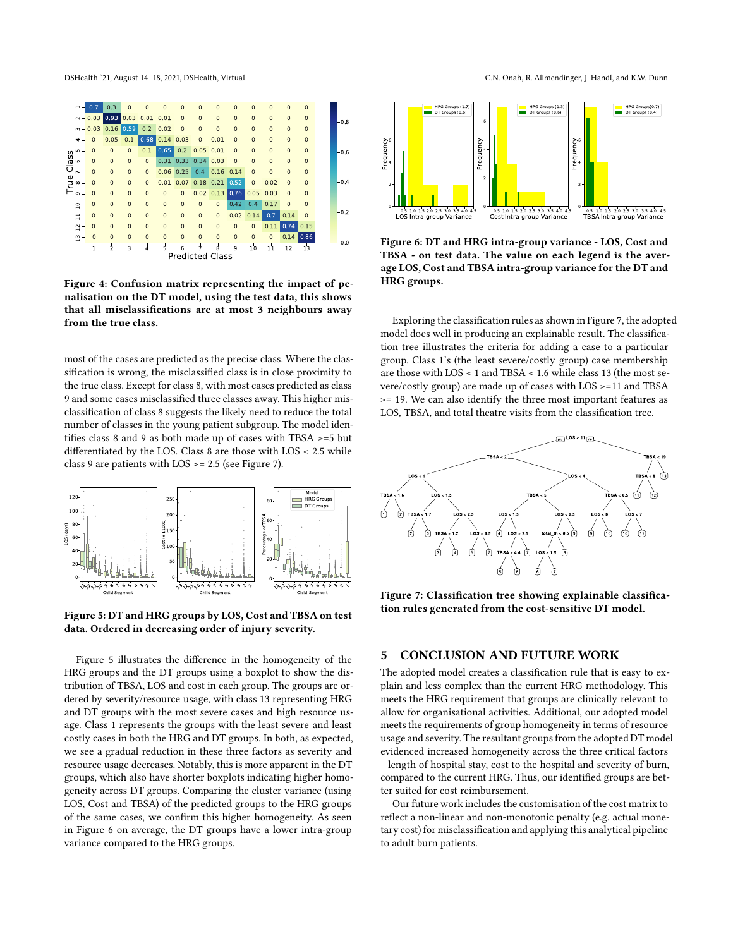<span id="page-3-0"></span>DSHealth '21, August 14-18, 2021, DSHealth, Virtual C.N. Onah, R. Allmendinger, J. Handl, and K.W. Dunn



Figure 4: Confusion matrix representing the impact of penalisation on the DT model, using the test data, this shows that all misclassifications are at most 3 neighbours away from the true class.

most of the cases are predicted as the precise class. Where the classification is wrong, the misclassified class is in close proximity to the true class. Except for class 8, with most cases predicted as class 9 and some cases misclassified three classes away. This higher misclassification of class 8 suggests the likely need to reduce the total number of classes in the young patient subgroup. The model identifies class 8 and 9 as both made up of cases with TBSA >=5 but differentiated by the LOS. Class 8 are those with LOS < 2.5 while class 9 are patients with LOS >= 2.5 (see Figure [7\)](#page-3-1).

<span id="page-3-2"></span>

Figure 5: DT and HRG groups by LOS, Cost and TBSA on test data. Ordered in decreasing order of injury severity.

Figure [5](#page-3-2) illustrates the difference in the homogeneity of the HRG groups and the DT groups using a boxplot to show the distribution of TBSA, LOS and cost in each group. The groups are ordered by severity/resource usage, with class 13 representing HRG and DT groups with the most severe cases and high resource usage. Class 1 represents the groups with the least severe and least costly cases in both the HRG and DT groups. In both, as expected, we see a gradual reduction in these three factors as severity and resource usage decreases. Notably, this is more apparent in the DT groups, which also have shorter boxplots indicating higher homogeneity across DT groups. Comparing the cluster variance (using LOS, Cost and TBSA) of the predicted groups to the HRG groups of the same cases, we confirm this higher homogeneity. As seen in Figure [6](#page-3-3) on average, the DT groups have a lower intra-group variance compared to the HRG groups.

<span id="page-3-3"></span>

Figure 6: DT and HRG intra-group variance - LOS, Cost and TBSA - on test data. The value on each legend is the average LOS, Cost and TBSA intra-group variance for the DT and HRG groups.

Exploring the classification rules as shown in Figure [7,](#page-3-1) the adopted model does well in producing an explainable result. The classification tree illustrates the criteria for adding a case to a particular group. Class 1's (the least severe/costly group) case membership are those with LOS < 1 and TBSA < 1.6 while class 13 (the most severe/costly group) are made up of cases with LOS >=11 and TBSA >= 19. We can also identify the three most important features as LOS, TBSA, and total theatre visits from the classification tree.

<span id="page-3-1"></span>

Figure 7: Classification tree showing explainable classification rules generated from the cost-sensitive DT model.

## 5 CONCLUSION AND FUTURE WORK

The adopted model creates a classification rule that is easy to explain and less complex than the current HRG methodology. This meets the HRG requirement that groups are clinically relevant to allow for organisational activities. Additional, our adopted model meets the requirements of group homogeneity in terms of resource usage and severity. The resultant groups from the adopted DT model evidenced increased homogeneity across the three critical factors – length of hospital stay, cost to the hospital and severity of burn, compared to the current HRG. Thus, our identified groups are better suited for cost reimbursement.

Our future work includes the customisation of the cost matrix to reflect a non-linear and non-monotonic penalty (e.g. actual monetary cost) for misclassification and applying this analytical pipeline to adult burn patients.